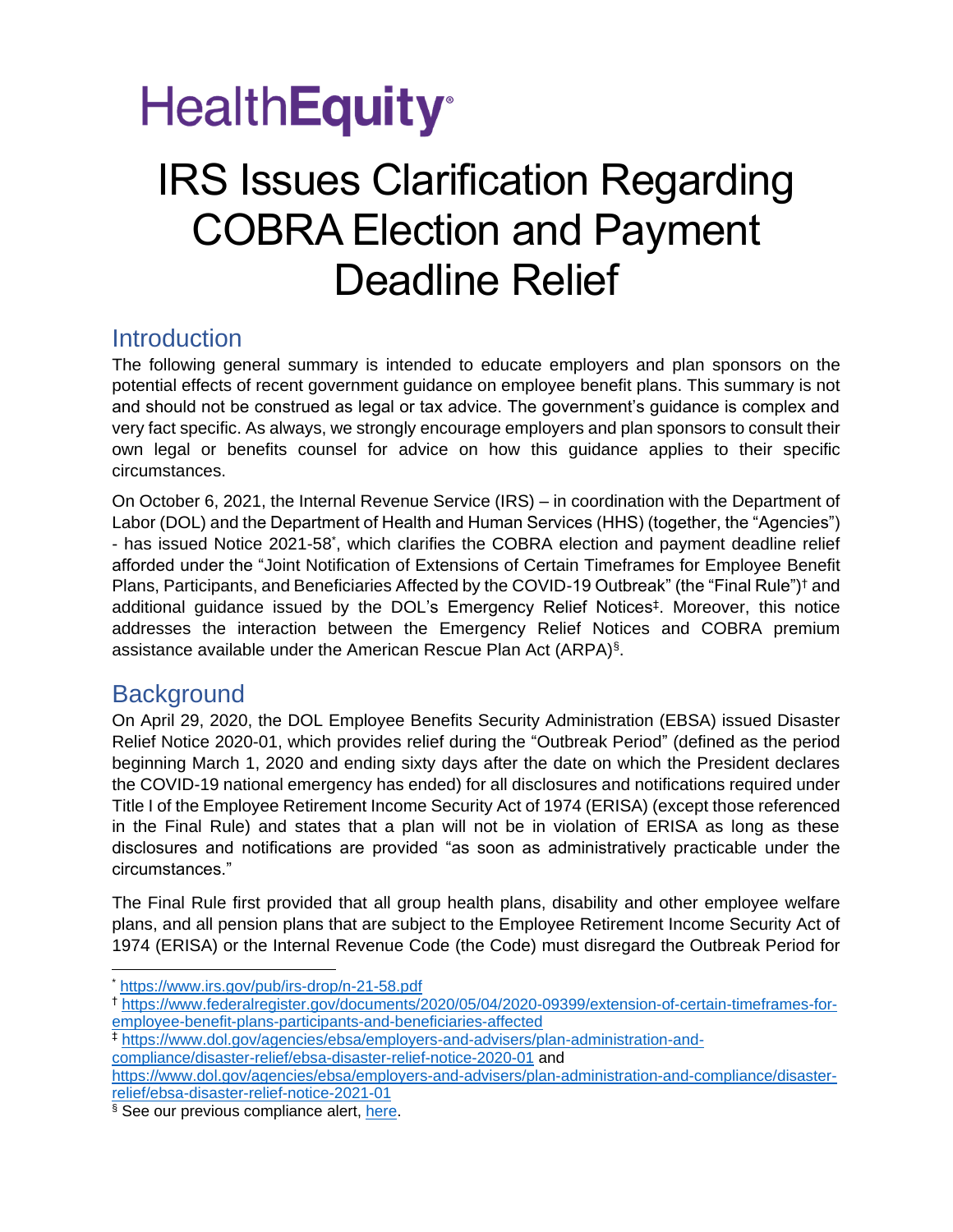## **HealthEquity**<sup>®</sup>

### IRS Issues Clarification Regarding COBRA Election and Payment Deadline Relief

### **Introduction**

The following general summary is intended to educate employers and plan sponsors on the potential effects of recent government guidance on employee benefit plans. This summary is not and should not be construed as legal or tax advice. The government's guidance is complex and very fact specific. As always, we strongly encourage employers and plan sponsors to consult their own legal or benefits counsel for advice on how this guidance applies to their specific circumstances.

On October 6, 2021, the Internal Revenue Service (IRS) – in coordination with the Department of Labor (DOL) and the Department of Health and Human Services (HHS) (together, the "Agencies") - has issued Notice 2021-58<sup>\*</sup>, which clarifies the COBRA election and payment deadline relief afforded under the "Joint Notification of Extensions of Certain Timeframes for Employee Benefit Plans, Participants, and Beneficiaries Affected by the COVID-19 Outbreak" (the "Final Rule")<sup>†</sup> and additional guidance issued by the DOL's Emergency Relief Notices‡ . Moreover, this notice addresses the interaction between the Emergency Relief Notices and COBRA premium assistance available under the American Rescue Plan Act (ARPA)§ .

### **Background**

On April 29, 2020, the DOL Employee Benefits Security Administration (EBSA) issued Disaster Relief Notice 2020-01, which provides relief during the "Outbreak Period" (defined as the period beginning March 1, 2020 and ending sixty days after the date on which the President declares the COVID-19 national emergency has ended) for all disclosures and notifications required under Title I of the Employee Retirement Income Security Act of 1974 (ERISA) (except those referenced in the Final Rule) and states that a plan will not be in violation of ERISA as long as these disclosures and notifications are provided "as soon as administratively practicable under the circumstances."

The Final Rule first provided that all group health plans, disability and other employee welfare plans, and all pension plans that are subject to the Employee Retirement Income Security Act of 1974 (ERISA) or the Internal Revenue Code (the Code) must disregard the Outbreak Period for

<sup>\*</sup> <https://www.irs.gov/pub/irs-drop/n-21-58.pdf>

<sup>†</sup> [https://www.federalregister.gov/documents/2020/05/04/2020-09399/extension-of-certain-timeframes-for](https://www.federalregister.gov/documents/2020/05/04/2020-09399/extension-of-certain-timeframes-for-employee-benefit-plans-participants-and-beneficiaries-affected)[employee-benefit-plans-participants-and-beneficiaries-affected](https://www.federalregister.gov/documents/2020/05/04/2020-09399/extension-of-certain-timeframes-for-employee-benefit-plans-participants-and-beneficiaries-affected)

<sup>‡</sup> [https://www.dol.gov/agencies/ebsa/employers-and-advisers/plan-administration-and-](https://www.dol.gov/agencies/ebsa/employers-and-advisers/plan-administration-and-compliance/disaster-relief/ebsa-disaster-relief-notice-2020-01)

[compliance/disaster-relief/ebsa-disaster-relief-notice-2020-01](https://www.dol.gov/agencies/ebsa/employers-and-advisers/plan-administration-and-compliance/disaster-relief/ebsa-disaster-relief-notice-2020-01) and

[https://www.dol.gov/agencies/ebsa/employers-and-advisers/plan-administration-and-compliance/disaster](https://www.dol.gov/agencies/ebsa/employers-and-advisers/plan-administration-and-compliance/disaster-relief/ebsa-disaster-relief-notice-2021-01)[relief/ebsa-disaster-relief-notice-2021-01](https://www.dol.gov/agencies/ebsa/employers-and-advisers/plan-administration-and-compliance/disaster-relief/ebsa-disaster-relief-notice-2021-01)

<sup>§</sup> See our previous compliance alert, [here.](https://www.wageworks.com/employers/employer-resources/compliance-briefing-center/regulatory-updates/2021/the-american-rescue-plan-act-of-2021-brings-big-changes-to-cobra-and-a-temporary-one-to-dcfsas/)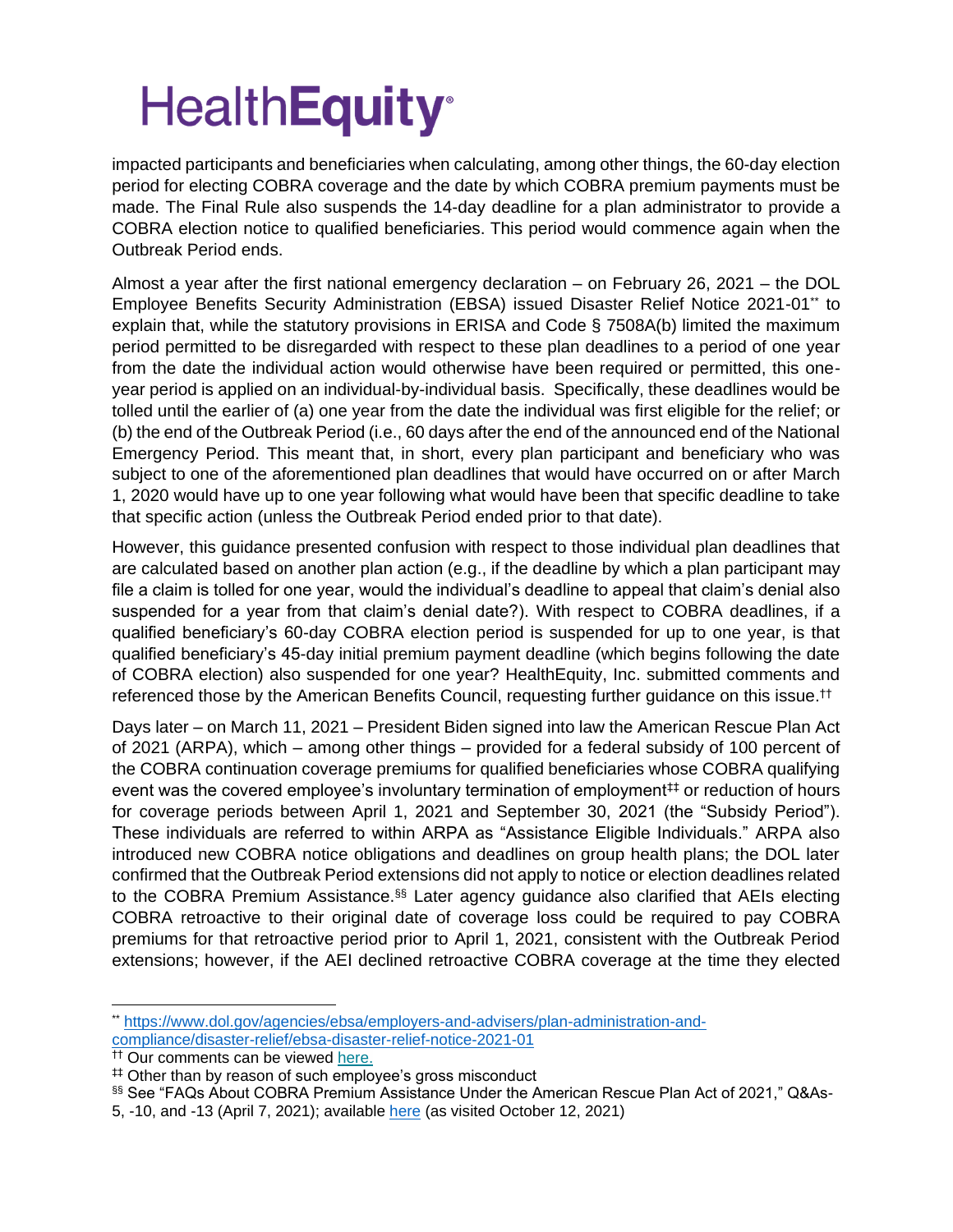impacted participants and beneficiaries when calculating, among other things, the 60-day election period for electing COBRA coverage and the date by which COBRA premium payments must be made. The Final Rule also suspends the 14-day deadline for a plan administrator to provide a COBRA election notice to qualified beneficiaries. This period would commence again when the Outbreak Period ends.

Almost a year after the first national emergency declaration – on February 26, 2021 – the DOL Employee Benefits Security Administration (EBSA) issued Disaster Relief Notice 2021-01\*\* to explain that, while the statutory provisions in ERISA and Code § 7508A(b) limited the maximum period permitted to be disregarded with respect to these plan deadlines to a period of one year from the date the individual action would otherwise have been required or permitted, this oneyear period is applied on an individual-by-individual basis. Specifically, these deadlines would be tolled until the earlier of (a) one year from the date the individual was first eligible for the relief; or (b) the end of the Outbreak Period (i.e., 60 days after the end of the announced end of the National Emergency Period. This meant that, in short, every plan participant and beneficiary who was subject to one of the aforementioned plan deadlines that would have occurred on or after March 1, 2020 would have up to one year following what would have been that specific deadline to take that specific action (unless the Outbreak Period ended prior to that date).

However, this guidance presented confusion with respect to those individual plan deadlines that are calculated based on another plan action (e.g., if the deadline by which a plan participant may file a claim is tolled for one year, would the individual's deadline to appeal that claim's denial also suspended for a year from that claim's denial date?). With respect to COBRA deadlines, if a qualified beneficiary's 60-day COBRA election period is suspended for up to one year, is that qualified beneficiary's 45-day initial premium payment deadline (which begins following the date of COBRA election) also suspended for one year? HealthEquity, Inc. submitted comments and referenced those by the American Benefits Council, requesting further guidance on this issue.<sup>††</sup>

Days later – on March 11, 2021 – President Biden signed into law the American Rescue Plan Act of 2021 (ARPA), which – among other things – provided for a federal subsidy of 100 percent of the COBRA continuation coverage premiums for qualified beneficiaries whose COBRA qualifying event was the covered employee's involuntary termination of employment# or reduction of hours for coverage periods between April 1, 2021 and September 30, 2021 (the "Subsidy Period"). These individuals are referred to within ARPA as "Assistance Eligible Individuals." ARPA also introduced new COBRA notice obligations and deadlines on group health plans; the DOL later confirmed that the Outbreak Period extensions did not apply to notice or election deadlines related to the COBRA Premium Assistance.<sup>§§</sup> Later agency guidance also clarified that AEIs electing COBRA retroactive to their original date of coverage loss could be required to pay COBRA premiums for that retroactive period prior to April 1, 2021, consistent with the Outbreak Period extensions; however, if the AEI declined retroactive COBRA coverage at the time they elected

<sup>\*\*</sup> [https://www.dol.gov/agencies/ebsa/employers-and-advisers/plan-administration-and](https://www.dol.gov/agencies/ebsa/employers-and-advisers/plan-administration-and-compliance/disaster-relief/ebsa-disaster-relief-notice-2021-01)[compliance/disaster-relief/ebsa-disaster-relief-notice-2021-01](https://www.dol.gov/agencies/ebsa/employers-and-advisers/plan-administration-and-compliance/disaster-relief/ebsa-disaster-relief-notice-2021-01)

<sup>&</sup>lt;sup>††</sup> Our comments can be viewed [here.](https://nam11.safelinks.protection.outlook.com/?url=https%3A%2F%2Fhealthequity.com%2Fdoclib%2Fcompliance%2FARPA-Comment-Letter.pdf&data=04%7C01%7Cjasonf%40healthequity.com%7C02be748b028d4d984bf408d8ee081766%7Cc5d0ad888f9343b89b7cc8a3bb8e410a%7C0%7C0%7C637521066014259923%7CUnknown%7CTWFpbGZsb3d8eyJWIjoiMC4wLjAwMDAiLCJQIjoiV2luMzIiLCJBTiI6Ik1haWwiLCJXVCI6Mn0%3D%7C1000&sdata=%2BarQpuJ54y3YknF5sxuJnDYFe5oHj8anaQecnlYyLIQ%3D&reserved=0)

<sup>‡‡</sup> Other than by reason of such employee's gross misconduct

<sup>§§</sup> See "FAQs About COBRA Premium Assistance Under the American Rescue Plan Act of 2021," Q&As-

<sup>5, -10,</sup> and -13 (April 7, 2021); available [here](https://www.dol.gov/sites/dolgov/files/EBSA/about-ebsa/our-activities/resource-center/faqs/cobra-premium-assistance-under-arp.pdf) (as visited October 12, 2021)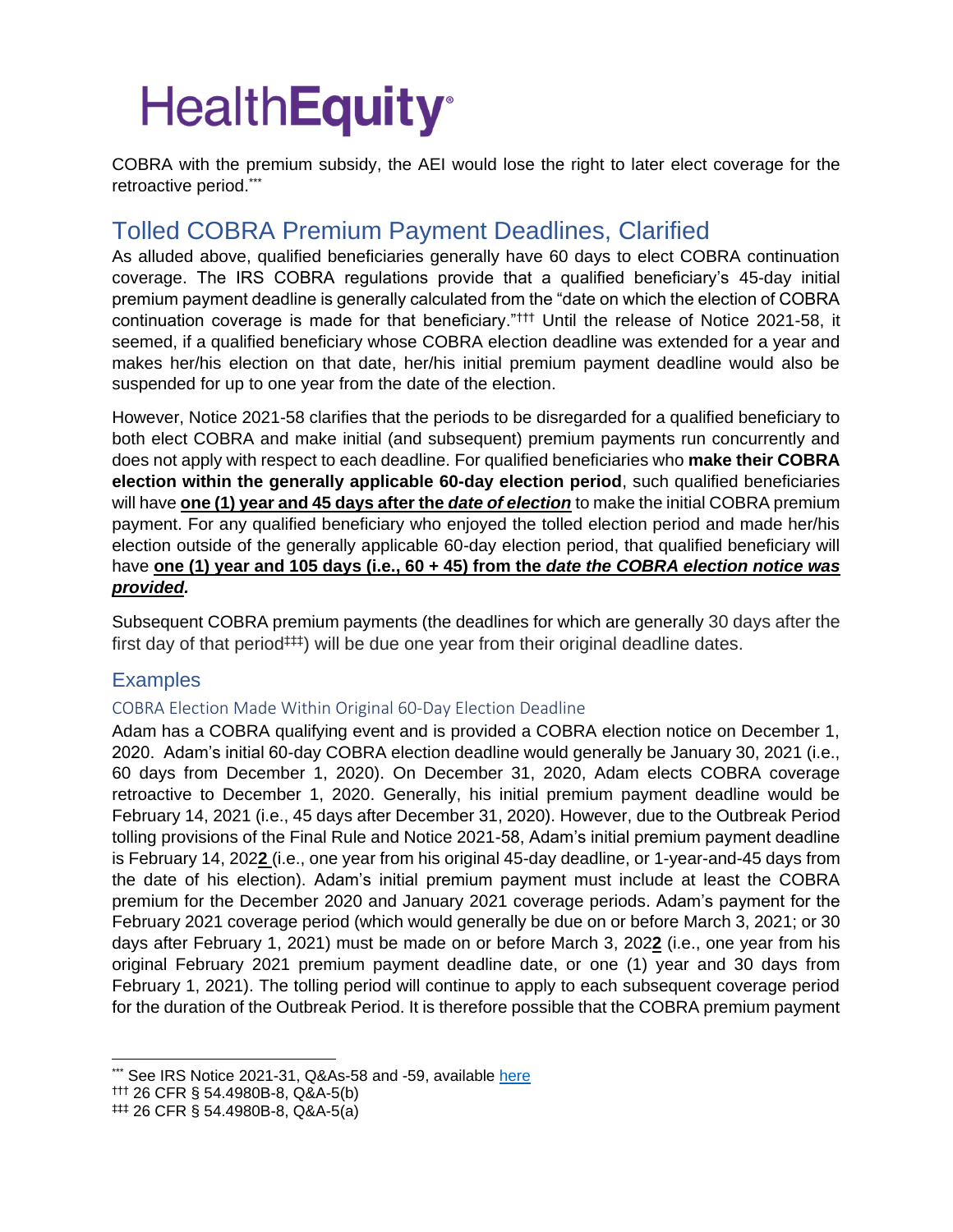COBRA with the premium subsidy, the AEI would lose the right to later elect coverage for the retroactive period.\*\*\*

### Tolled COBRA Premium Payment Deadlines, Clarified

As alluded above, qualified beneficiaries generally have 60 days to elect COBRA continuation coverage. The IRS COBRA regulations provide that a qualified beneficiary's 45-day initial premium payment deadline is generally calculated from the "date on which the election of COBRA continuation coverage is made for that beneficiary."††† Until the release of Notice 2021-58, it seemed, if a qualified beneficiary whose COBRA election deadline was extended for a year and makes her/his election on that date, her/his initial premium payment deadline would also be suspended for up to one year from the date of the election.

However, Notice 2021-58 clarifies that the periods to be disregarded for a qualified beneficiary to both elect COBRA and make initial (and subsequent) premium payments run concurrently and does not apply with respect to each deadline. For qualified beneficiaries who **make their COBRA election within the generally applicable 60-day election period**, such qualified beneficiaries will have **one (1) year and 45 days after the** *date of election* to make the initial COBRA premium payment. For any qualified beneficiary who enjoyed the tolled election period and made her/his election outside of the generally applicable 60-day election period, that qualified beneficiary will have **one (1) year and 105 days (i.e., 60 + 45) from the** *date the COBRA election notice was provided.* 

Subsequent COBRA premium payments (the deadlines for which are generally 30 days after the first day of that period<sup> $\uparrow\uparrow\uparrow$ </sup>) will be due one year from their original deadline dates.

#### **Examples**

#### COBRA Election Made Within Original 60-Day Election Deadline

Adam has a COBRA qualifying event and is provided a COBRA election notice on December 1, 2020. Adam's initial 60-day COBRA election deadline would generally be January 30, 2021 (i.e., 60 days from December 1, 2020). On December 31, 2020, Adam elects COBRA coverage retroactive to December 1, 2020. Generally, his initial premium payment deadline would be February 14, 2021 (i.e., 45 days after December 31, 2020). However, due to the Outbreak Period tolling provisions of the Final Rule and Notice 2021-58, Adam's initial premium payment deadline is February 14, 202**2** (i.e., one year from his original 45-day deadline, or 1-year-and-45 days from the date of his election). Adam's initial premium payment must include at least the COBRA premium for the December 2020 and January 2021 coverage periods. Adam's payment for the February 2021 coverage period (which would generally be due on or before March 3, 2021; or 30 days after February 1, 2021) must be made on or before March 3, 202**2** (i.e., one year from his original February 2021 premium payment deadline date, or one (1) year and 30 days from February 1, 2021). The tolling period will continue to apply to each subsequent coverage period for the duration of the Outbreak Period. It is therefore possible that the COBRA premium payment

<sup>\*\*\*</sup> See IRS Notice 2021-31, Q&As-58 and -59, available [here](https://www.irs.gov/pub/irs-drop/n-21-31.pdf)

<sup>†††</sup> 26 CFR § 54.4980B-8, Q&A-5(b)

 $#$ ‡‡ 26 CFR § 54.4980B-8, Q&A-5(a)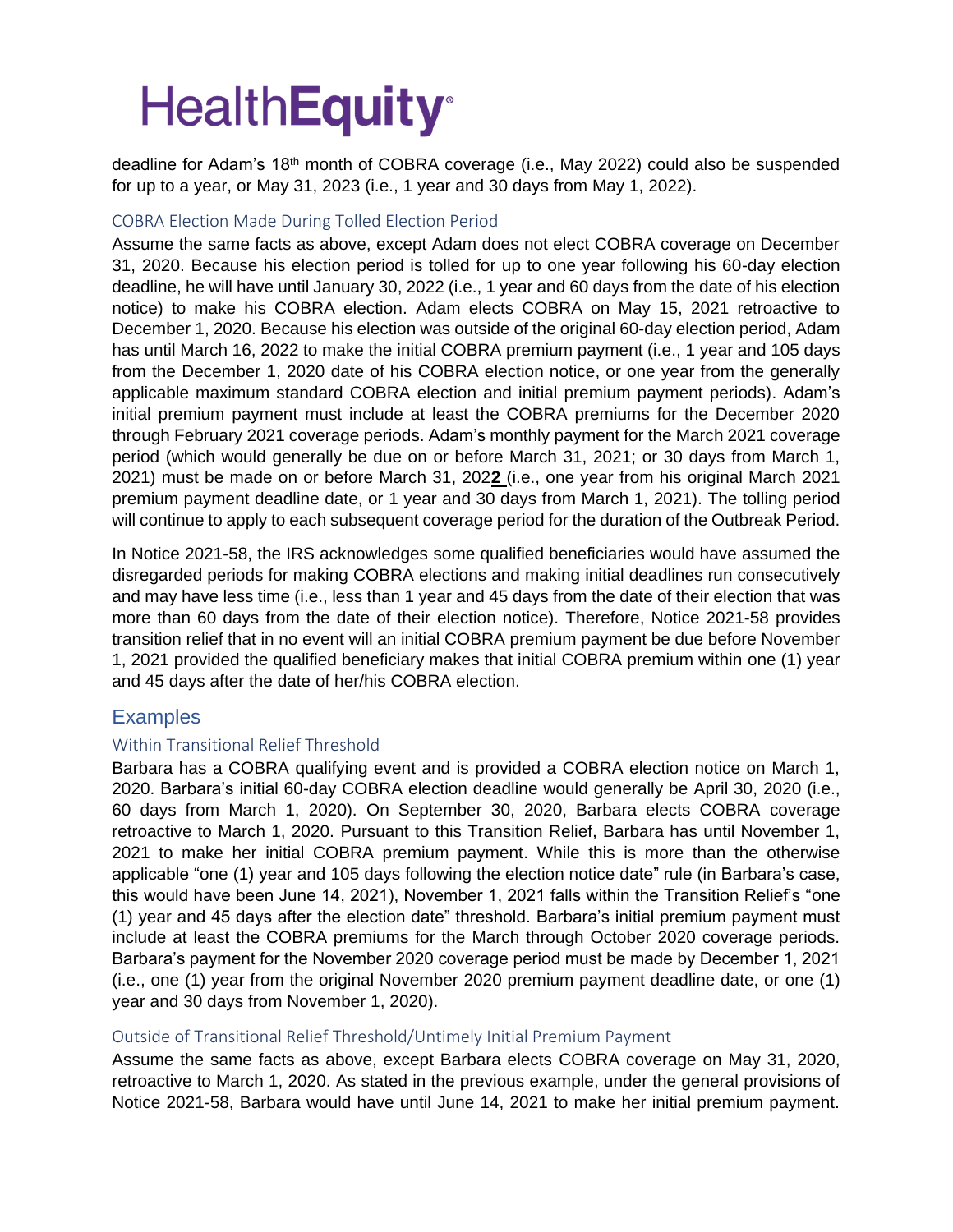deadline for Adam's 18th month of COBRA coverage (i.e., May 2022) could also be suspended for up to a year, or May 31, 2023 (i.e., 1 year and 30 days from May 1, 2022).

#### COBRA Election Made During Tolled Election Period

Assume the same facts as above, except Adam does not elect COBRA coverage on December 31, 2020. Because his election period is tolled for up to one year following his 60-day election deadline, he will have until January 30, 2022 (i.e., 1 year and 60 days from the date of his election notice) to make his COBRA election. Adam elects COBRA on May 15, 2021 retroactive to December 1, 2020. Because his election was outside of the original 60-day election period, Adam has until March 16, 2022 to make the initial COBRA premium payment (i.e., 1 year and 105 days from the December 1, 2020 date of his COBRA election notice, or one year from the generally applicable maximum standard COBRA election and initial premium payment periods). Adam's initial premium payment must include at least the COBRA premiums for the December 2020 through February 2021 coverage periods. Adam's monthly payment for the March 2021 coverage period (which would generally be due on or before March 31, 2021; or 30 days from March 1, 2021) must be made on or before March 31, 202**2** (i.e., one year from his original March 2021 premium payment deadline date, or 1 year and 30 days from March 1, 2021). The tolling period will continue to apply to each subsequent coverage period for the duration of the Outbreak Period.

In Notice 2021-58, the IRS acknowledges some qualified beneficiaries would have assumed the disregarded periods for making COBRA elections and making initial deadlines run consecutively and may have less time (i.e., less than 1 year and 45 days from the date of their election that was more than 60 days from the date of their election notice). Therefore, Notice 2021-58 provides transition relief that in no event will an initial COBRA premium payment be due before November 1, 2021 provided the qualified beneficiary makes that initial COBRA premium within one (1) year and 45 days after the date of her/his COBRA election.

#### **Examples**

#### Within Transitional Relief Threshold

Barbara has a COBRA qualifying event and is provided a COBRA election notice on March 1, 2020. Barbara's initial 60-day COBRA election deadline would generally be April 30, 2020 (i.e., 60 days from March 1, 2020). On September 30, 2020, Barbara elects COBRA coverage retroactive to March 1, 2020. Pursuant to this Transition Relief, Barbara has until November 1, 2021 to make her initial COBRA premium payment. While this is more than the otherwise applicable "one (1) year and 105 days following the election notice date" rule (in Barbara's case, this would have been June 14, 2021), November 1, 2021 falls within the Transition Relief's "one (1) year and 45 days after the election date" threshold. Barbara's initial premium payment must include at least the COBRA premiums for the March through October 2020 coverage periods. Barbara's payment for the November 2020 coverage period must be made by December 1, 2021 (i.e., one (1) year from the original November 2020 premium payment deadline date, or one (1) year and 30 days from November 1, 2020).

#### Outside of Transitional Relief Threshold/Untimely Initial Premium Payment

Assume the same facts as above, except Barbara elects COBRA coverage on May 31, 2020, retroactive to March 1, 2020. As stated in the previous example, under the general provisions of Notice 2021-58, Barbara would have until June 14, 2021 to make her initial premium payment.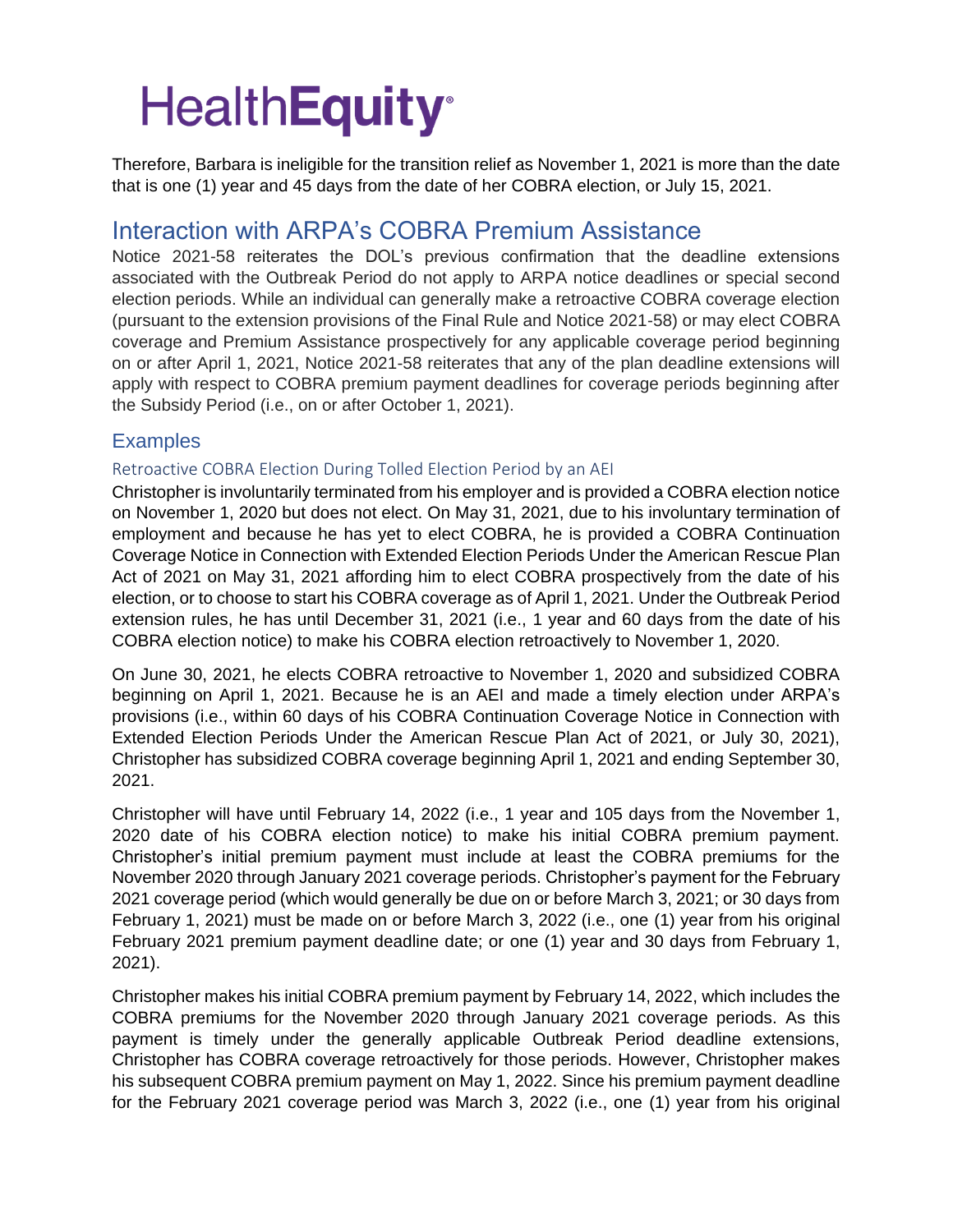Therefore, Barbara is ineligible for the transition relief as November 1, 2021 is more than the date that is one (1) year and 45 days from the date of her COBRA election, or July 15, 2021.

### Interaction with ARPA's COBRA Premium Assistance

Notice 2021-58 reiterates the DOL's previous confirmation that the deadline extensions associated with the Outbreak Period do not apply to ARPA notice deadlines or special second election periods. While an individual can generally make a retroactive COBRA coverage election (pursuant to the extension provisions of the Final Rule and Notice 2021-58) or may elect COBRA coverage and Premium Assistance prospectively for any applicable coverage period beginning on or after April 1, 2021, Notice 2021-58 reiterates that any of the plan deadline extensions will apply with respect to COBRA premium payment deadlines for coverage periods beginning after the Subsidy Period (i.e., on or after October 1, 2021).

#### **Examples**

#### Retroactive COBRA Election During Tolled Election Period by an AEI

Christopher is involuntarily terminated from his employer and is provided a COBRA election notice on November 1, 2020 but does not elect. On May 31, 2021, due to his involuntary termination of employment and because he has yet to elect COBRA, he is provided a COBRA Continuation Coverage Notice in Connection with Extended Election Periods Under the American Rescue Plan Act of 2021 on May 31, 2021 affording him to elect COBRA prospectively from the date of his election, or to choose to start his COBRA coverage as of April 1, 2021. Under the Outbreak Period extension rules, he has until December 31, 2021 (i.e., 1 year and 60 days from the date of his COBRA election notice) to make his COBRA election retroactively to November 1, 2020.

On June 30, 2021, he elects COBRA retroactive to November 1, 2020 and subsidized COBRA beginning on April 1, 2021. Because he is an AEI and made a timely election under ARPA's provisions (i.e., within 60 days of his COBRA Continuation Coverage Notice in Connection with Extended Election Periods Under the American Rescue Plan Act of 2021, or July 30, 2021), Christopher has subsidized COBRA coverage beginning April 1, 2021 and ending September 30, 2021.

Christopher will have until February 14, 2022 (i.e., 1 year and 105 days from the November 1, 2020 date of his COBRA election notice) to make his initial COBRA premium payment. Christopher's initial premium payment must include at least the COBRA premiums for the November 2020 through January 2021 coverage periods. Christopher's payment for the February 2021 coverage period (which would generally be due on or before March 3, 2021; or 30 days from February 1, 2021) must be made on or before March 3, 2022 (i.e., one (1) year from his original February 2021 premium payment deadline date; or one (1) year and 30 days from February 1, 2021).

Christopher makes his initial COBRA premium payment by February 14, 2022, which includes the COBRA premiums for the November 2020 through January 2021 coverage periods. As this payment is timely under the generally applicable Outbreak Period deadline extensions, Christopher has COBRA coverage retroactively for those periods. However, Christopher makes his subsequent COBRA premium payment on May 1, 2022. Since his premium payment deadline for the February 2021 coverage period was March 3, 2022 (i.e., one (1) year from his original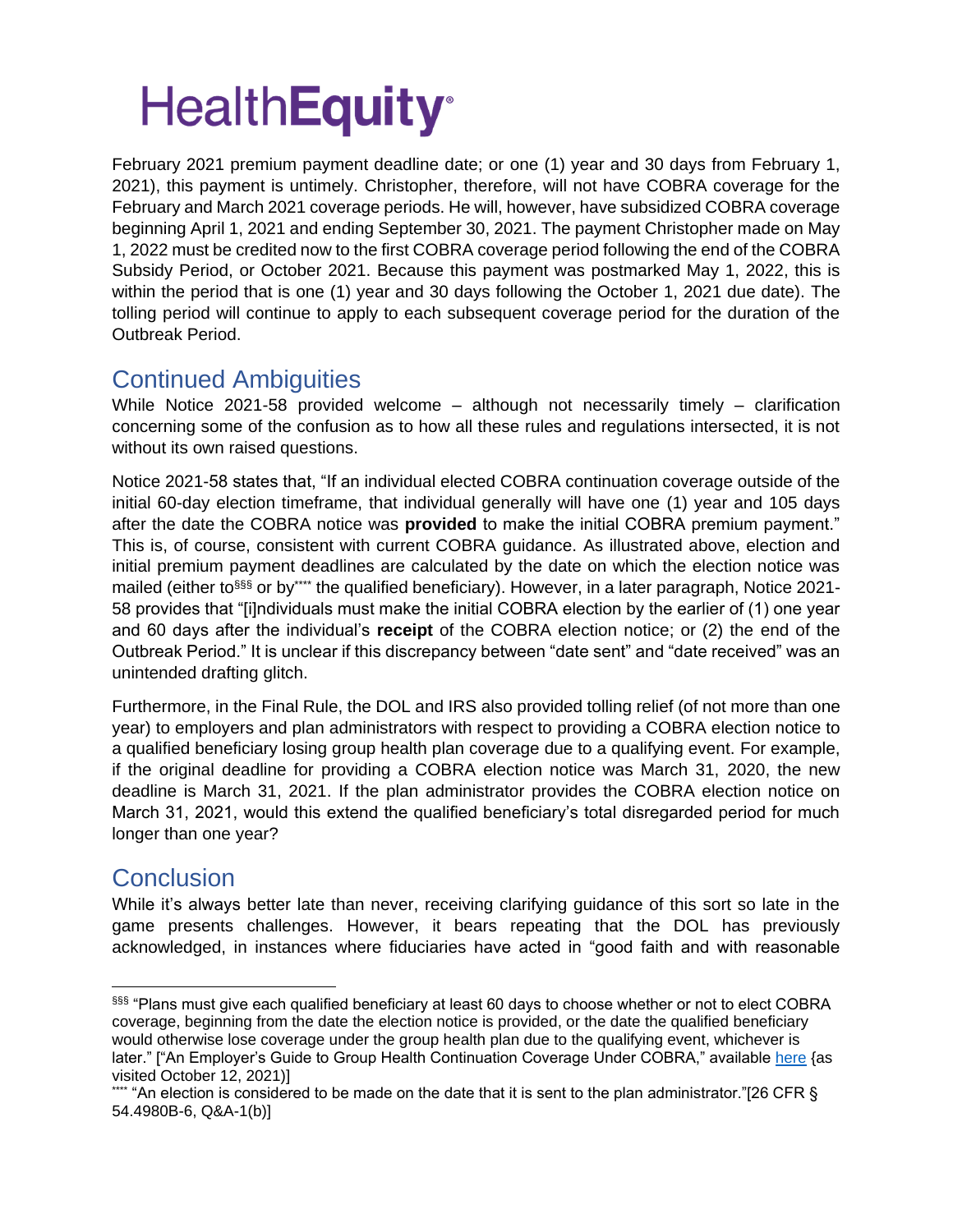February 2021 premium payment deadline date; or one (1) year and 30 days from February 1, 2021), this payment is untimely. Christopher, therefore, will not have COBRA coverage for the February and March 2021 coverage periods. He will, however, have subsidized COBRA coverage beginning April 1, 2021 and ending September 30, 2021. The payment Christopher made on May 1, 2022 must be credited now to the first COBRA coverage period following the end of the COBRA Subsidy Period, or October 2021. Because this payment was postmarked May 1, 2022, this is within the period that is one (1) year and 30 days following the October 1, 2021 due date). The tolling period will continue to apply to each subsequent coverage period for the duration of the Outbreak Period.

### Continued Ambiguities

While Notice 2021-58 provided welcome – although not necessarily timely – clarification concerning some of the confusion as to how all these rules and regulations intersected, it is not without its own raised questions.

Notice 2021-58 states that, "If an individual elected COBRA continuation coverage outside of the initial 60-day election timeframe, that individual generally will have one (1) year and 105 days after the date the COBRA notice was **provided** to make the initial COBRA premium payment." This is, of course, consistent with current COBRA guidance. As illustrated above, election and initial premium payment deadlines are calculated by the date on which the election notice was mailed (either to<sup>§§§</sup> or by\*\*\*\* the qualified beneficiary). However, in a later paragraph, Notice 2021-58 provides that "[i]ndividuals must make the initial COBRA election by the earlier of (1) one year and 60 days after the individual's **receipt** of the COBRA election notice; or (2) the end of the Outbreak Period." It is unclear if this discrepancy between "date sent" and "date received" was an unintended drafting glitch.

Furthermore, in the Final Rule, the DOL and IRS also provided tolling relief (of not more than one year) to employers and plan administrators with respect to providing a COBRA election notice to a qualified beneficiary losing group health plan coverage due to a qualifying event. For example, if the original deadline for providing a COBRA election notice was March 31, 2020, the new deadline is March 31, 2021. If the plan administrator provides the COBRA election notice on March 31, 2021, would this extend the qualified beneficiary's total disregarded period for much longer than one year?

### **Conclusion**

While it's always better late than never, receiving clarifying guidance of this sort so late in the game presents challenges. However, it bears repeating that the DOL has previously acknowledged, in instances where fiduciaries have acted in "good faith and with reasonable

<sup>§§§ &</sup>quot;Plans must give each qualified beneficiary at least 60 days to choose whether or not to elect COBRA coverage, beginning from the date the election notice is provided, or the date the qualified beneficiary would otherwise lose coverage under the group health plan due to the qualifying event, whichever is later." ["An Employer's Guide to Group Health Continuation Coverage Under COBRA," available [here](https://www.dol.gov/sites/dolgov/files/ebsa/about-ebsa/our-activities/resource-center/publications/an-employers-guide-to-group-health-continuation-coverage-under-cobra.pdf) {as visited October 12, 2021)]

<sup>&</sup>quot;An election is considered to be made on the date that it is sent to the plan administrator."[26 CFR  $\S$ 54.4980B-6, Q&A-1(b)]